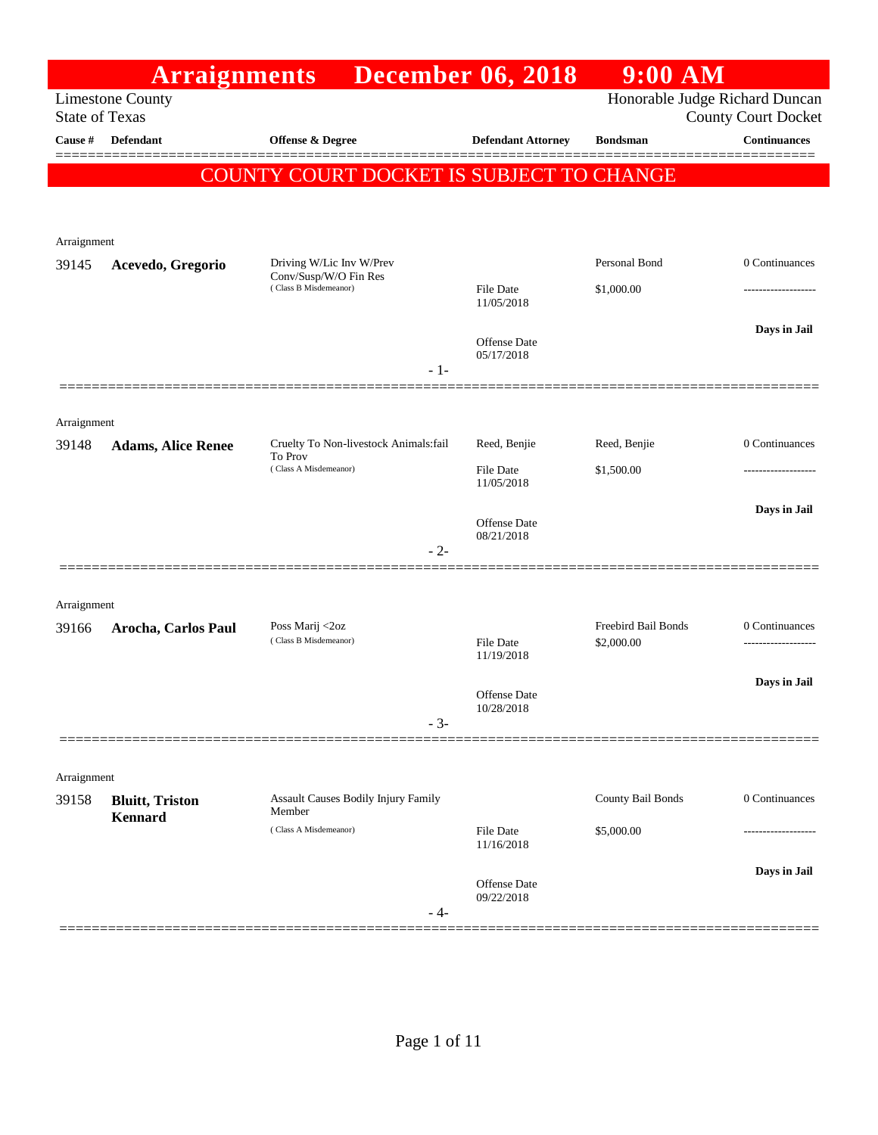|                       | <b>Arraignments</b>                |                                                   |       | <b>December 06, 2018</b>          | $9:00$ AM                  |                                                              |
|-----------------------|------------------------------------|---------------------------------------------------|-------|-----------------------------------|----------------------------|--------------------------------------------------------------|
| <b>State of Texas</b> | <b>Limestone County</b>            |                                                   |       |                                   |                            | Honorable Judge Richard Duncan<br><b>County Court Docket</b> |
| Cause #               | Defendant                          | Offense & Degree                                  |       | <b>Defendant Attorney</b>         | <b>Bondsman</b>            | <b>Continuances</b>                                          |
|                       |                                    | COUNTY COURT DOCKET IS SUBJECT TO CHANGE          |       |                                   |                            |                                                              |
|                       |                                    |                                                   |       |                                   |                            |                                                              |
| Arraignment           |                                    |                                                   |       |                                   |                            |                                                              |
| 39145                 | Acevedo, Gregorio                  | Driving W/Lic Inv W/Prev<br>Conv/Susp/W/O Fin Res |       |                                   | Personal Bond              | 0 Continuances                                               |
|                       |                                    | (Class B Misdemeanor)                             |       | <b>File Date</b><br>11/05/2018    | \$1,000.00                 |                                                              |
|                       |                                    |                                                   |       | <b>Offense Date</b>               |                            | Days in Jail                                                 |
|                       |                                    |                                                   | $-1-$ | 05/17/2018                        |                            |                                                              |
|                       |                                    |                                                   |       |                                   |                            |                                                              |
| Arraignment           |                                    | Cruelty To Non-livestock Animals:fail             |       |                                   |                            | 0 Continuances                                               |
| 39148                 | <b>Adams, Alice Renee</b>          | To Prov<br>(Class A Misdemeanor)                  |       | Reed, Benjie<br><b>File Date</b>  | Reed, Benjie<br>\$1,500.00 |                                                              |
|                       |                                    |                                                   |       | 11/05/2018                        |                            |                                                              |
|                       |                                    |                                                   |       | <b>Offense</b> Date<br>08/21/2018 |                            | Days in Jail                                                 |
|                       |                                    |                                                   | $-2-$ |                                   |                            |                                                              |
|                       |                                    |                                                   |       |                                   |                            |                                                              |
| Arraignment<br>39166  | Arocha, Carlos Paul                | Poss Marij <2oz                                   |       |                                   | Freebird Bail Bonds        | 0 Continuances                                               |
|                       |                                    | (Class B Misdemeanor)                             |       | <b>File Date</b><br>11/19/2018    | \$2,000.00                 | -----------------                                            |
|                       |                                    |                                                   |       | Offense Date                      |                            | Days in Jail                                                 |
|                       |                                    |                                                   | $-3-$ | 10/28/2018                        |                            |                                                              |
|                       |                                    |                                                   |       |                                   |                            |                                                              |
| Arraignment           |                                    |                                                   |       |                                   |                            |                                                              |
| 39158                 | <b>Bluitt</b> , Triston<br>Kennard | Assault Causes Bodily Injury Family<br>Member     |       |                                   | County Bail Bonds          | 0 Continuances                                               |
|                       |                                    | (Class A Misdemeanor)                             |       | <b>File Date</b><br>11/16/2018    | \$5,000.00                 |                                                              |
|                       |                                    |                                                   |       | <b>Offense</b> Date               |                            | Days in Jail                                                 |
|                       |                                    |                                                   | - 4-  | 09/22/2018                        |                            |                                                              |
|                       |                                    |                                                   |       |                                   |                            |                                                              |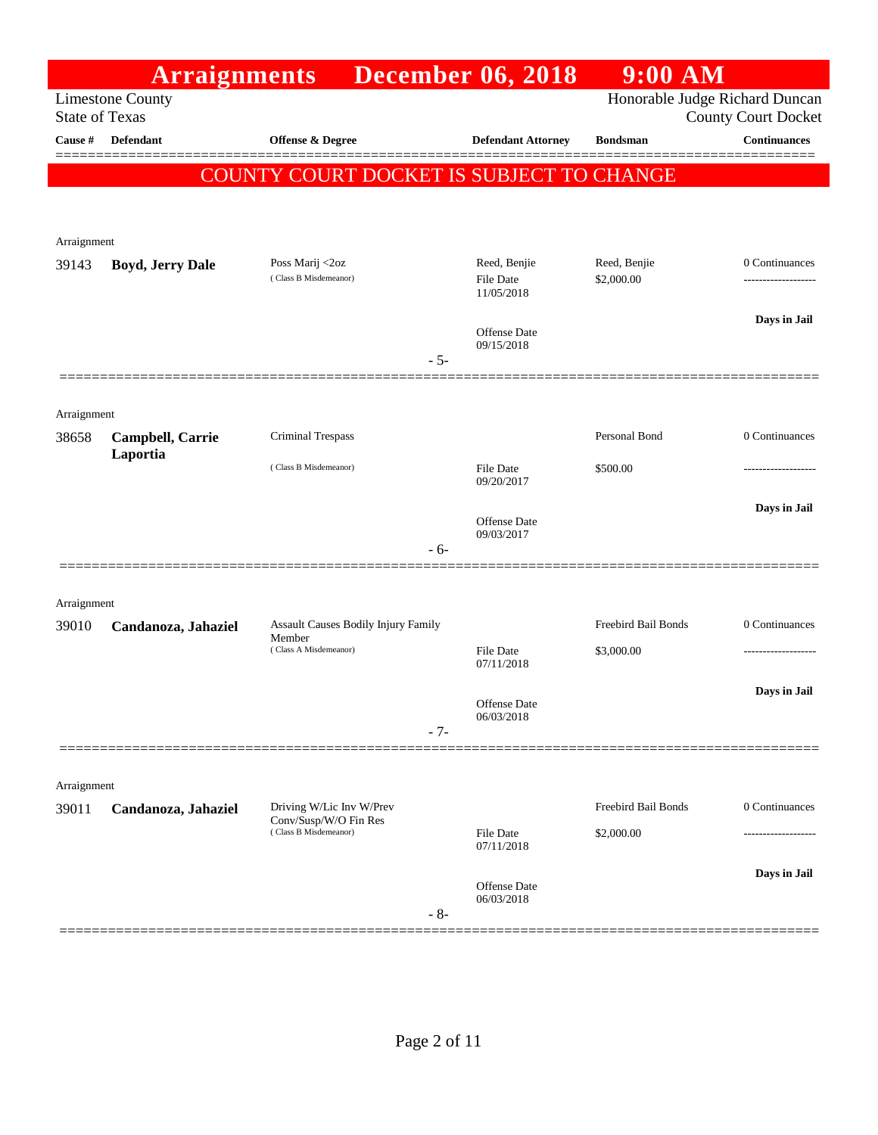|                       | <b>Arraignments</b>     |                                                | <b>December 06, 2018</b>          | $9:00$ AM                      |                                     |
|-----------------------|-------------------------|------------------------------------------------|-----------------------------------|--------------------------------|-------------------------------------|
| <b>State of Texas</b> | <b>Limestone County</b> |                                                |                                   | Honorable Judge Richard Duncan | <b>County Court Docket</b>          |
| Cause #               | <b>Defendant</b>        | Offense & Degree                               | <b>Defendant Attorney</b>         | <b>Bondsman</b>                | Continuances                        |
|                       |                         | COUNTY COURT DOCKET IS SUBJECT TO CHANGE       |                                   |                                |                                     |
|                       |                         |                                                |                                   |                                |                                     |
| Arraignment           |                         |                                                |                                   |                                |                                     |
| 39143                 | <b>Boyd, Jerry Dale</b> | Poss Marij <2oz<br>(Class B Misdemeanor)       | Reed, Benjie<br><b>File Date</b>  | Reed, Benjie<br>\$2,000.00     | 0 Continuances<br>----------------- |
|                       |                         |                                                | 11/05/2018                        |                                |                                     |
|                       |                         |                                                | <b>Offense Date</b><br>09/15/2018 |                                | Days in Jail                        |
|                       |                         | $-5-$                                          |                                   |                                |                                     |
|                       |                         |                                                |                                   |                                |                                     |
| Arraignment<br>38658  | Campbell, Carrie        | Criminal Trespass                              |                                   | Personal Bond                  | 0 Continuances                      |
|                       | Laportia                | (Class B Misdemeanor)                          | <b>File Date</b>                  | \$500.00                       |                                     |
|                       |                         |                                                | 09/20/2017                        |                                |                                     |
|                       |                         |                                                | Offense Date<br>09/03/2017        |                                | Days in Jail                        |
|                       |                         | - 6-                                           |                                   |                                |                                     |
|                       |                         |                                                |                                   |                                |                                     |
| Arraignment<br>39010  | Candanoza, Jahaziel     | Assault Causes Bodily Injury Family            |                                   | Freebird Bail Bonds            | 0 Continuances                      |
|                       |                         | Member<br>(Class A Misdemeanor)                | <b>File Date</b>                  | \$3,000.00                     | ----------------                    |
|                       |                         |                                                | 07/11/2018                        |                                | Days in Jail                        |
|                       |                         |                                                | Offense Date<br>06/03/2018        |                                |                                     |
|                       |                         | $-7-$                                          |                                   |                                |                                     |
| Arraignment           |                         |                                                |                                   |                                |                                     |
| 39011                 | Candanoza, Jahaziel     | Driving W/Lic Inv W/Prev                       |                                   | Freebird Bail Bonds            | 0 Continuances                      |
|                       |                         | Conv/Susp/W/O Fin Res<br>(Class B Misdemeanor) | File Date<br>07/11/2018           | \$2,000.00                     |                                     |
|                       |                         |                                                |                                   |                                | Days in Jail                        |
|                       |                         | $-8-$                                          | Offense Date<br>06/03/2018        |                                |                                     |
|                       |                         |                                                |                                   |                                |                                     |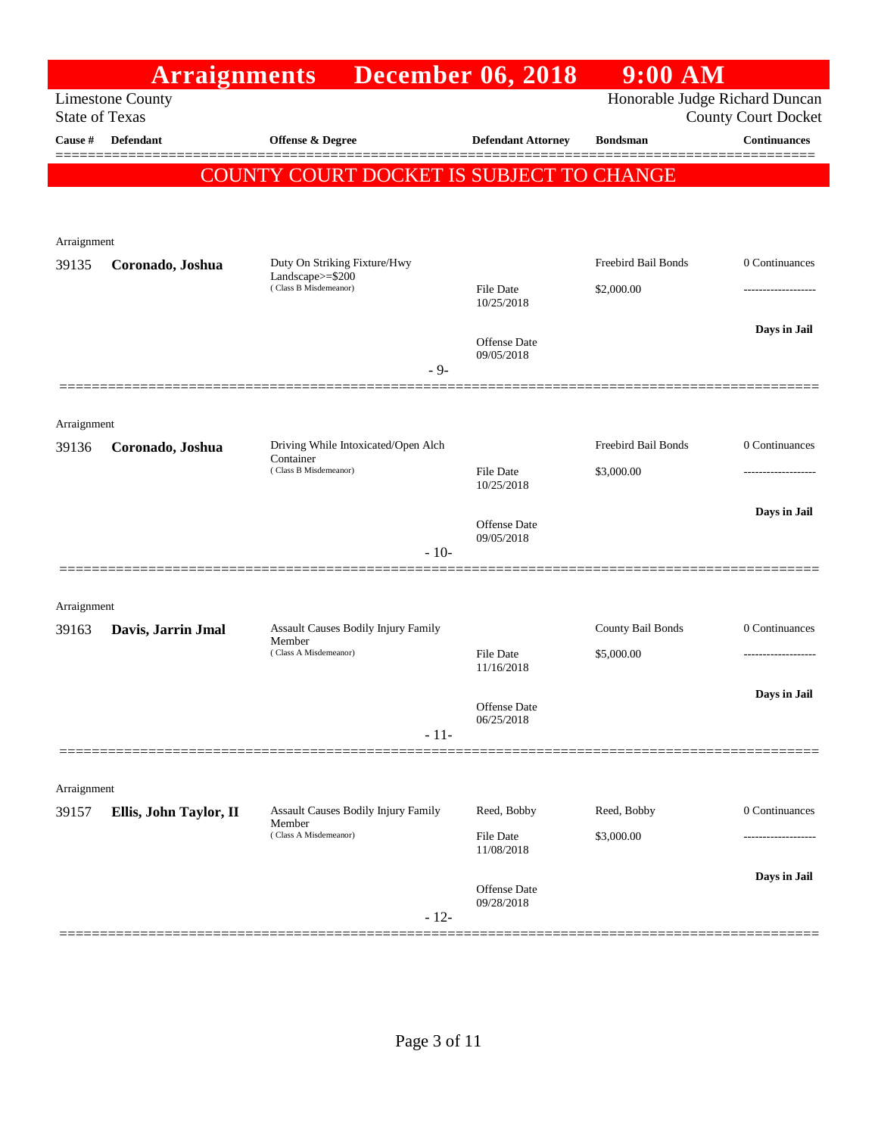|                       | <b>Arraignments</b>     |                                               | <b>December 06, 2018</b>          | 9:00 AM                        |                            |
|-----------------------|-------------------------|-----------------------------------------------|-----------------------------------|--------------------------------|----------------------------|
| <b>State of Texas</b> | <b>Limestone County</b> |                                               |                                   | Honorable Judge Richard Duncan | <b>County Court Docket</b> |
| Cause #               | <b>Defendant</b>        | <b>Offense &amp; Degree</b>                   | <b>Defendant Attorney</b>         | <b>Bondsman</b>                | Continuances               |
|                       |                         | COUNTY COURT DOCKET IS SUBJECT TO CHANGE      |                                   |                                |                            |
|                       |                         |                                               |                                   |                                |                            |
| Arraignment           |                         |                                               |                                   |                                |                            |
| 39135                 | Coronado, Joshua        | Duty On Striking Fixture/Hwy                  |                                   | Freebird Bail Bonds            | 0 Continuances             |
|                       |                         | Landscape $>=$ \$200<br>(Class B Misdemeanor) | <b>File Date</b><br>10/25/2018    | \$2,000.00                     |                            |
|                       |                         |                                               |                                   |                                | Days in Jail               |
|                       |                         |                                               | <b>Offense Date</b><br>09/05/2018 |                                |                            |
|                       |                         | $-9-$                                         |                                   |                                |                            |
|                       |                         |                                               |                                   |                                |                            |
| Arraignment<br>39136  | Coronado, Joshua        | Driving While Intoxicated/Open Alch           |                                   | Freebird Bail Bonds            | 0 Continuances             |
|                       |                         | Container<br>(Class B Misdemeanor)            | <b>File Date</b>                  | \$3,000.00                     | .                          |
|                       |                         |                                               | 10/25/2018                        |                                | Days in Jail               |
|                       |                         |                                               | <b>Offense</b> Date<br>09/05/2018 |                                |                            |
|                       |                         | $-10-$                                        |                                   |                                |                            |
|                       |                         |                                               |                                   |                                |                            |
| Arraignment<br>39163  | Davis, Jarrin Jmal      | Assault Causes Bodily Injury Family           |                                   | County Bail Bonds              | 0 Continuances             |
|                       |                         | Member<br>(Class A Misdemeanor)               | <b>File Date</b>                  | \$5,000.00                     | .                          |
|                       |                         |                                               | 11/16/2018                        |                                | Days in Jail               |
|                       |                         |                                               | Offense Date<br>06/25/2018        |                                |                            |
|                       |                         | $-11-$                                        |                                   |                                |                            |
|                       |                         |                                               |                                   |                                |                            |
| Arraignment<br>39157  | Ellis, John Taylor, II  | Assault Causes Bodily Injury Family           | Reed, Bobby                       | Reed, Bobby                    | 0 Continuances             |
|                       |                         | Member<br>(Class A Misdemeanor)               | File Date                         | \$3,000.00                     |                            |
|                       |                         |                                               | 11/08/2018                        |                                |                            |
|                       |                         |                                               | Offense Date<br>09/28/2018        |                                | Days in Jail               |
|                       |                         | $-12-$                                        |                                   |                                |                            |
|                       |                         |                                               |                                   |                                |                            |

Page 3 of 11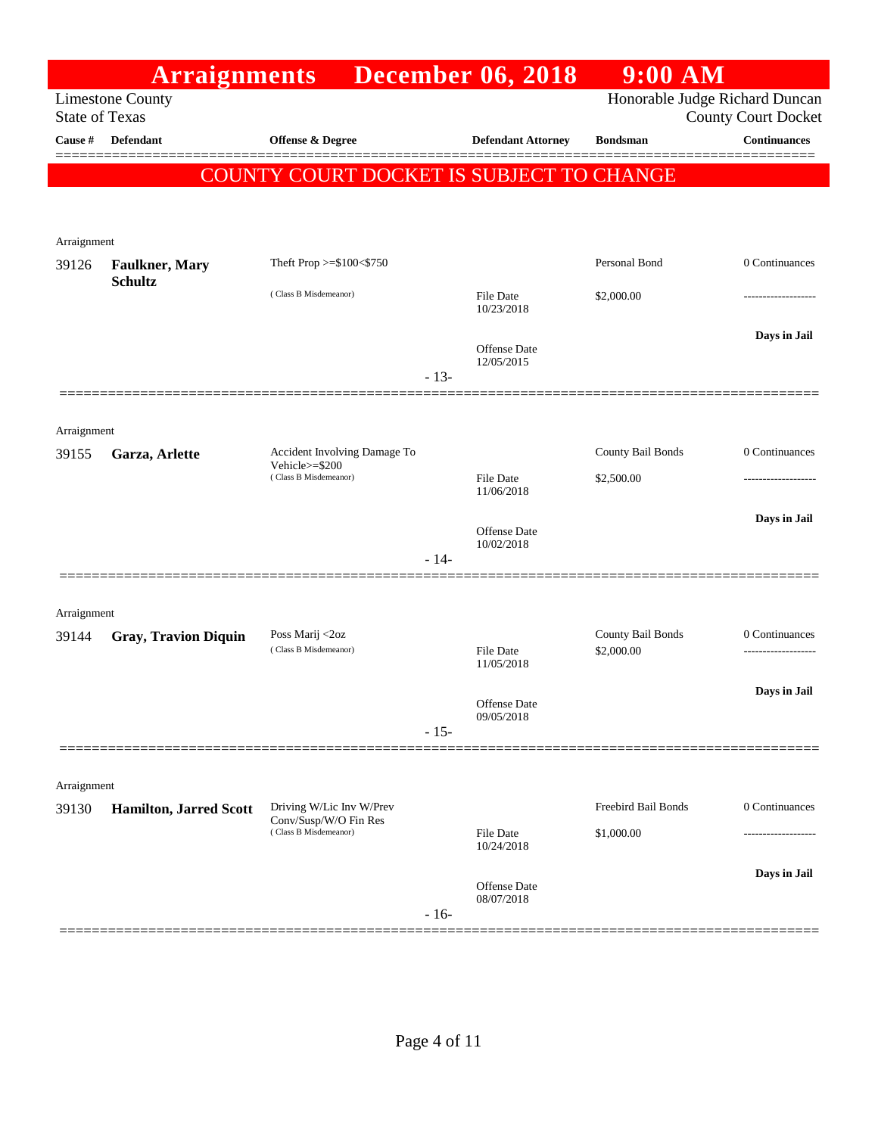|                       | <b>Arraignments</b>                      |                                                |        | <b>December 06, 2018</b>          | $9:00$ AM                       |                                                              |
|-----------------------|------------------------------------------|------------------------------------------------|--------|-----------------------------------|---------------------------------|--------------------------------------------------------------|
| <b>State of Texas</b> | <b>Limestone County</b>                  |                                                |        |                                   |                                 | Honorable Judge Richard Duncan<br><b>County Court Docket</b> |
| Cause #               | <b>Defendant</b>                         | Offense & Degree                               |        | <b>Defendant Attorney</b>         | <b>Bondsman</b>                 | <b>Continuances</b>                                          |
|                       |                                          | COUNTY COURT DOCKET IS SUBJECT TO CHANGE       |        |                                   |                                 |                                                              |
|                       |                                          |                                                |        |                                   |                                 |                                                              |
| Arraignment           |                                          |                                                |        |                                   |                                 |                                                              |
| 39126                 | <b>Faulkner</b> , Mary<br><b>Schultz</b> | Theft Prop >=\$100<\$750                       |        |                                   | Personal Bond                   | 0 Continuances                                               |
|                       |                                          | (Class B Misdemeanor)                          |        | <b>File Date</b><br>10/23/2018    | \$2,000.00                      |                                                              |
|                       |                                          |                                                |        |                                   |                                 | Days in Jail                                                 |
|                       |                                          |                                                | $-13-$ | <b>Offense</b> Date<br>12/05/2015 |                                 |                                                              |
|                       |                                          |                                                |        |                                   |                                 |                                                              |
| Arraignment           |                                          |                                                |        |                                   |                                 |                                                              |
| 39155                 | Garza, Arlette                           | Accident Involving Damage To<br>Vehicle>=\$200 |        |                                   | County Bail Bonds               | 0 Continuances                                               |
|                       |                                          | (Class B Misdemeanor)                          |        | <b>File Date</b><br>11/06/2018    | \$2,500.00                      |                                                              |
|                       |                                          |                                                |        | <b>Offense</b> Date               |                                 | Days in Jail                                                 |
|                       |                                          |                                                | $-14-$ | 10/02/2018                        |                                 |                                                              |
|                       |                                          |                                                |        |                                   |                                 |                                                              |
| Arraignment           |                                          |                                                |        |                                   |                                 |                                                              |
| 39144                 | <b>Gray, Travion Diquin</b>              | Poss Marij <2oz<br>(Class B Misdemeanor)       |        | <b>File Date</b>                  | County Bail Bonds<br>\$2,000.00 | 0 Continuances<br>.                                          |
|                       |                                          |                                                |        | 11/05/2018                        |                                 | Days in Jail                                                 |
|                       |                                          |                                                |        | Offense Date<br>09/05/2018        |                                 |                                                              |
|                       |                                          |                                                | $-15-$ |                                   |                                 |                                                              |
| Arraignment           |                                          |                                                |        |                                   |                                 |                                                              |
| 39130                 | <b>Hamilton, Jarred Scott</b>            | Driving W/Lic Inv W/Prev                       |        |                                   | Freebird Bail Bonds             | 0 Continuances                                               |
|                       |                                          | Conv/Susp/W/O Fin Res<br>(Class B Misdemeanor) |        | <b>File Date</b><br>10/24/2018    | \$1,000.00                      | ----------------                                             |
|                       |                                          |                                                |        |                                   |                                 | Days in Jail                                                 |
|                       |                                          |                                                |        | Offense Date<br>08/07/2018        |                                 |                                                              |
|                       |                                          |                                                | $-16-$ |                                   |                                 |                                                              |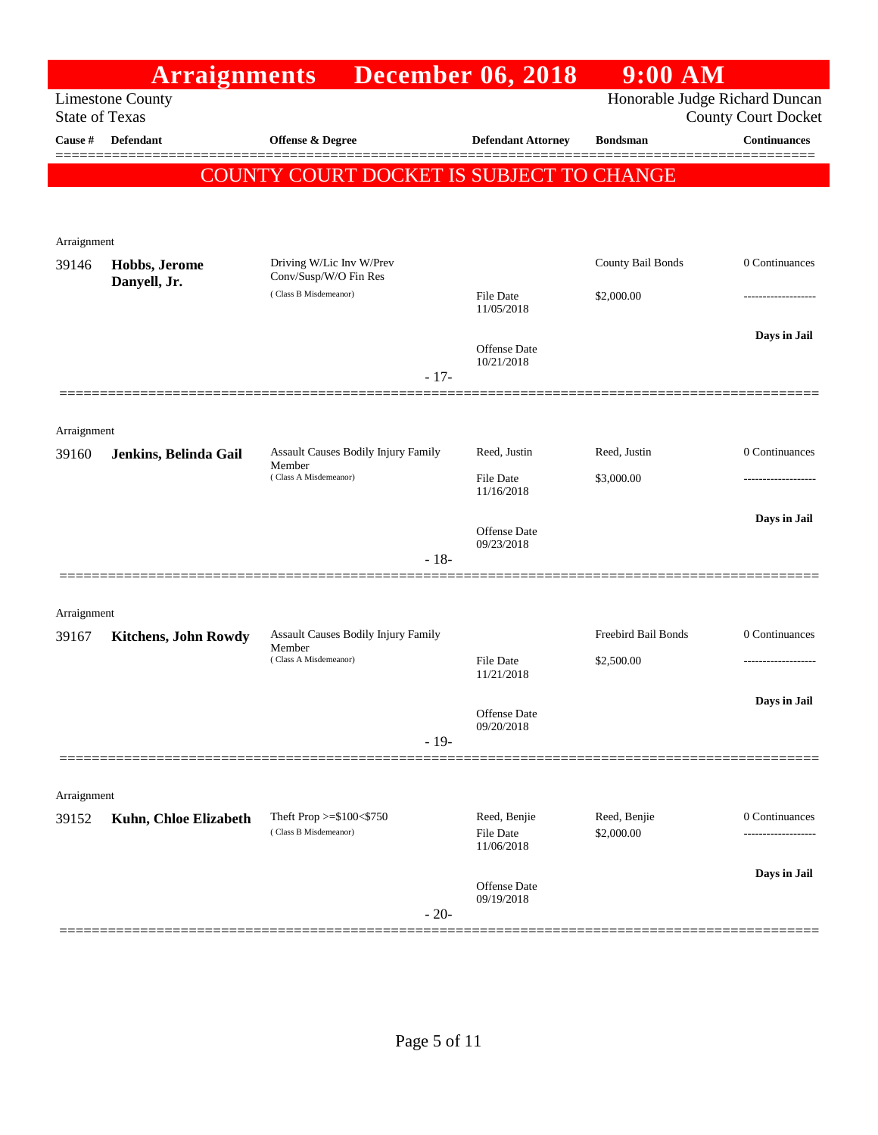|                       | <b>Arraignments</b>         |                                                      | <b>December 06, 2018</b>                | $9:00$ AM                      |                            |
|-----------------------|-----------------------------|------------------------------------------------------|-----------------------------------------|--------------------------------|----------------------------|
| <b>State of Texas</b> | <b>Limestone County</b>     |                                                      |                                         | Honorable Judge Richard Duncan | <b>County Court Docket</b> |
| Cause #               | <b>Defendant</b>            | Offense & Degree                                     | <b>Defendant Attorney</b>               | <b>Bondsman</b>                | Continuances               |
|                       |                             | COUNTY COURT DOCKET IS SUBJECT TO CHANGE             |                                         |                                |                            |
| Arraignment           |                             |                                                      |                                         |                                |                            |
| 39146                 | Hobbs, Jerome               | Driving W/Lic Inv W/Prev<br>Conv/Susp/W/O Fin Res    |                                         | County Bail Bonds              | 0 Continuances             |
|                       | Danyell, Jr.                | (Class B Misdemeanor)                                | File Date<br>11/05/2018                 | \$2,000.00                     |                            |
|                       |                             | $-17-$                                               | <b>Offense</b> Date<br>10/21/2018       |                                | Days in Jail               |
|                       |                             |                                                      |                                         |                                |                            |
| Arraignment<br>39160  | Jenkins, Belinda Gail       | Assault Causes Bodily Injury Family                  | Reed, Justin                            | Reed, Justin                   | 0 Continuances             |
|                       |                             | Member<br>(Class A Misdemeanor)                      | File Date<br>11/16/2018                 | \$3,000.00                     |                            |
|                       |                             | $-18-$                                               | Offense Date<br>09/23/2018              |                                | Days in Jail               |
| Arraignment           |                             |                                                      |                                         |                                |                            |
| 39167                 | <b>Kitchens, John Rowdy</b> | Assault Causes Bodily Injury Family                  |                                         | Freebird Bail Bonds            | 0 Continuances             |
|                       |                             | Member<br>(Class A Misdemeanor)                      | File Date<br>11/21/2018                 | \$2,500.00                     | .                          |
|                       |                             |                                                      | Offense Date<br>09/20/2018              |                                | Days in Jail               |
|                       |                             | $-19-$                                               |                                         |                                |                            |
| Arraignment           |                             |                                                      |                                         |                                |                            |
| 39152                 | Kuhn, Chloe Elizabeth       | Theft Prop $>= $100 < $750$<br>(Class B Misdemeanor) | Reed, Benjie<br>File Date<br>11/06/2018 | Reed, Benjie<br>\$2,000.00     | 0 Continuances             |
|                       |                             | $-20-$                                               | Offense Date<br>09/19/2018              |                                | Days in Jail               |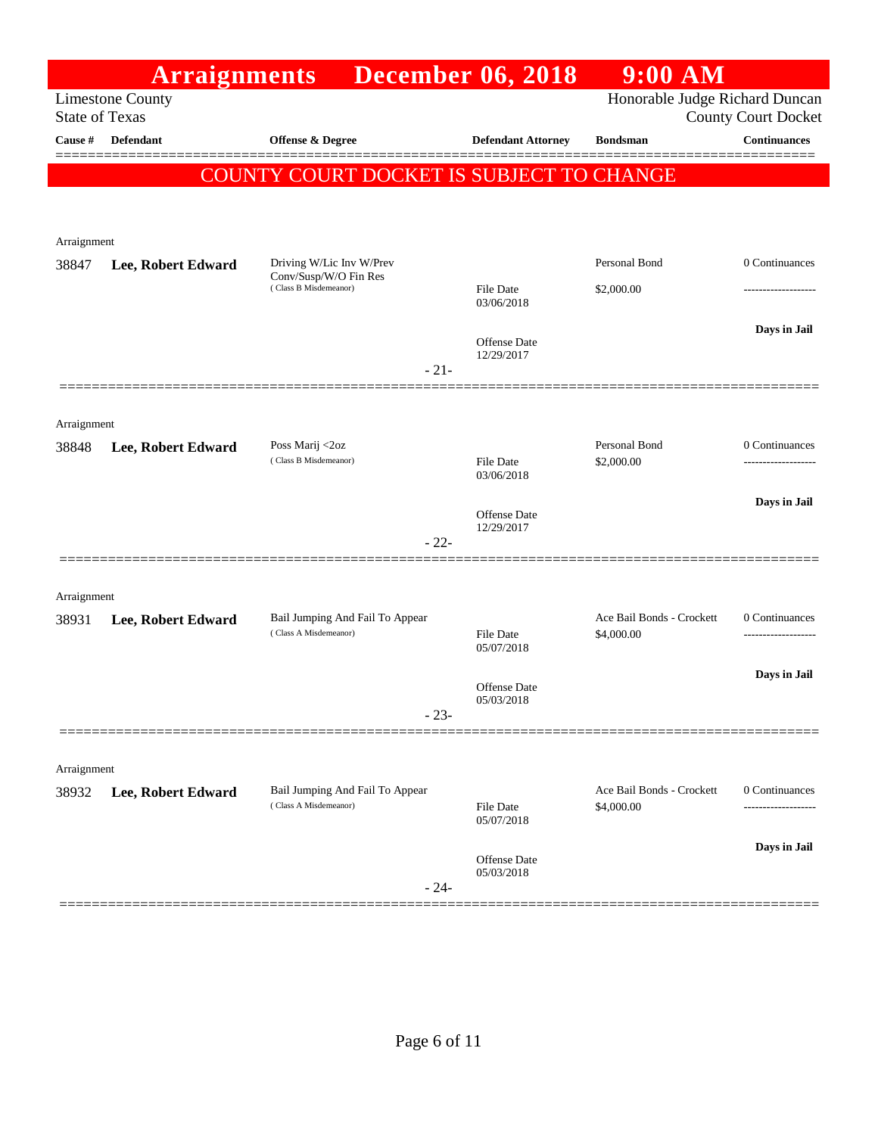|                       | <b>Arraignments</b>     |                                                          | <b>December 06, 2018</b>          | $9:00$ AM                               |                                       |
|-----------------------|-------------------------|----------------------------------------------------------|-----------------------------------|-----------------------------------------|---------------------------------------|
| <b>State of Texas</b> | <b>Limestone County</b> |                                                          |                                   | Honorable Judge Richard Duncan          | <b>County Court Docket</b>            |
| Cause #               | Defendant               | Offense & Degree                                         | <b>Defendant Attorney</b>         | <b>Bondsman</b>                         | <b>Continuances</b>                   |
|                       |                         |                                                          |                                   |                                         |                                       |
|                       |                         | COUNTY COURT DOCKET IS SUBJECT TO CHANGE                 |                                   |                                         |                                       |
|                       |                         |                                                          |                                   |                                         |                                       |
| Arraignment           |                         |                                                          |                                   |                                         |                                       |
| 38847                 | Lee, Robert Edward      | Driving W/Lic Inv W/Prev<br>Conv/Susp/W/O Fin Res        |                                   | Personal Bond                           | 0 Continuances                        |
|                       |                         | (Class B Misdemeanor)                                    | File Date<br>03/06/2018           | \$2,000.00                              |                                       |
|                       |                         |                                                          |                                   |                                         | Days in Jail                          |
|                       |                         |                                                          | <b>Offense</b> Date<br>12/29/2017 |                                         |                                       |
|                       |                         | $-21-$                                                   |                                   |                                         |                                       |
|                       |                         |                                                          |                                   |                                         |                                       |
| Arraignment           |                         |                                                          |                                   |                                         |                                       |
| 38848                 | Lee, Robert Edward      | Poss Marij <2oz<br>(Class B Misdemeanor)                 | File Date                         | Personal Bond<br>\$2,000.00             | 0 Continuances<br>------------------- |
|                       |                         |                                                          | 03/06/2018                        |                                         |                                       |
|                       |                         |                                                          | <b>Offense</b> Date               |                                         | Days in Jail                          |
|                       |                         | $-22-$                                                   | 12/29/2017                        |                                         |                                       |
|                       |                         |                                                          |                                   |                                         |                                       |
| Arraignment           |                         |                                                          |                                   |                                         |                                       |
| 38931                 | Lee, Robert Edward      | Bail Jumping And Fail To Appear                          |                                   | Ace Bail Bonds - Crockett               | 0 Continuances                        |
|                       |                         | (Class A Misdemeanor)                                    | File Date<br>05/07/2018           | \$4,000.00                              | ------------------                    |
|                       |                         |                                                          |                                   |                                         | Days in Jail                          |
|                       |                         |                                                          | Offense Date<br>05/03/2018        |                                         |                                       |
|                       |                         | $-23-$                                                   |                                   |                                         |                                       |
|                       |                         |                                                          |                                   |                                         |                                       |
| Arraignment           |                         |                                                          |                                   |                                         |                                       |
| 38932                 | Lee, Robert Edward      | Bail Jumping And Fail To Appear<br>(Class A Misdemeanor) | File Date                         | Ace Bail Bonds - Crockett<br>\$4,000.00 | 0 Continuances                        |
|                       |                         |                                                          | 05/07/2018                        |                                         |                                       |
|                       |                         |                                                          | Offense Date                      |                                         | Days in Jail                          |
|                       |                         | $-24-$                                                   | 05/03/2018                        |                                         |                                       |
|                       |                         |                                                          |                                   |                                         |                                       |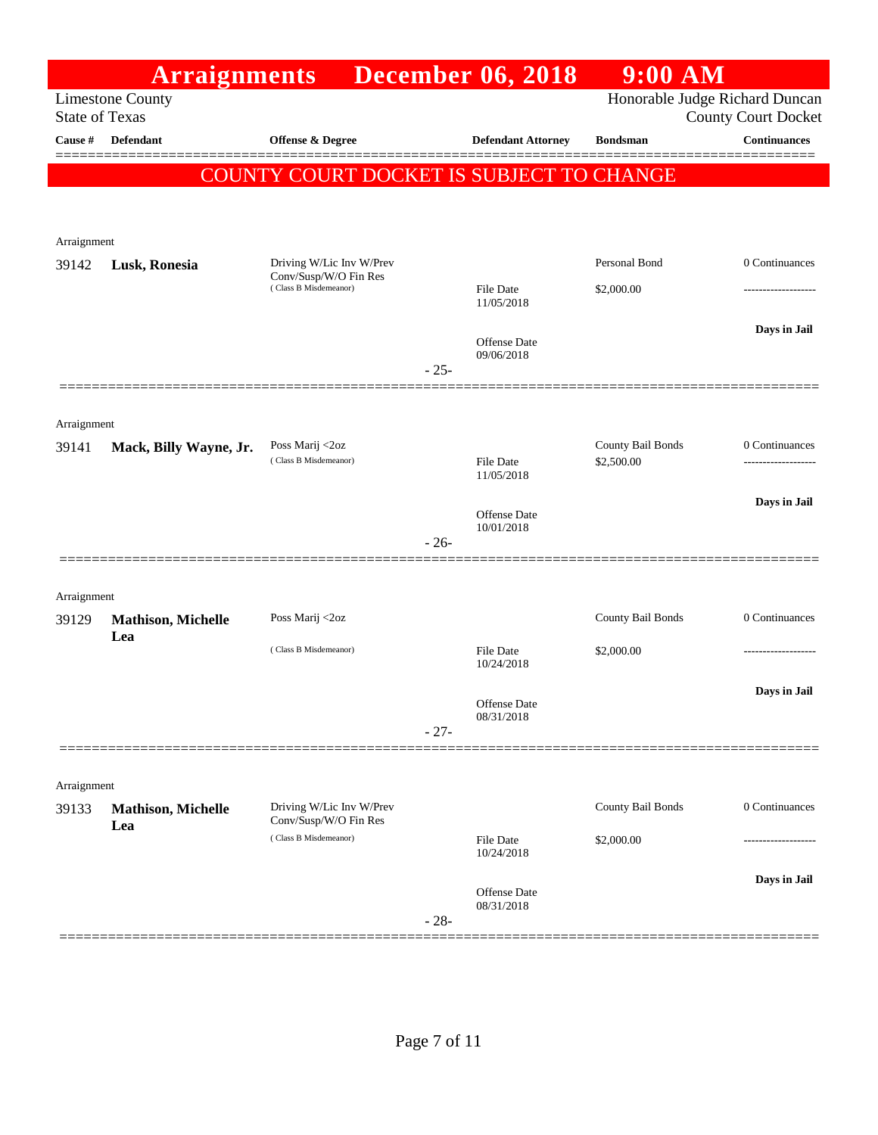|                       | <b>Arraignments</b>              |                                                   |        | <b>December 06, 2018</b>          | $9:00$ AM                       |                                                              |
|-----------------------|----------------------------------|---------------------------------------------------|--------|-----------------------------------|---------------------------------|--------------------------------------------------------------|
| <b>State of Texas</b> | <b>Limestone County</b>          |                                                   |        |                                   |                                 | Honorable Judge Richard Duncan<br><b>County Court Docket</b> |
| Cause #               | <b>Defendant</b>                 | <b>Offense &amp; Degree</b>                       |        | <b>Defendant Attorney</b>         | <b>Bondsman</b>                 | <b>Continuances</b>                                          |
|                       |                                  | COUNTY COURT DOCKET IS SUBJECT TO CHANGE          |        |                                   |                                 |                                                              |
|                       |                                  |                                                   |        |                                   |                                 |                                                              |
| Arraignment           |                                  |                                                   |        |                                   |                                 |                                                              |
| 39142                 | Lusk, Ronesia                    | Driving W/Lic Inv W/Prev<br>Conv/Susp/W/O Fin Res |        |                                   | Personal Bond                   | 0 Continuances                                               |
|                       |                                  | (Class B Misdemeanor)                             |        | File Date<br>11/05/2018           | \$2,000.00                      |                                                              |
|                       |                                  |                                                   | $-25-$ | Offense Date<br>09/06/2018        |                                 | Days in Jail                                                 |
|                       |                                  |                                                   |        |                                   |                                 |                                                              |
| Arraignment           |                                  |                                                   |        |                                   |                                 |                                                              |
| 39141                 | Mack, Billy Wayne, Jr.           | Poss Marij <2oz<br>(Class B Misdemeanor)          |        | <b>File Date</b><br>11/05/2018    | County Bail Bonds<br>\$2,500.00 | 0 Continuances                                               |
|                       |                                  |                                                   |        |                                   |                                 | Days in Jail                                                 |
|                       |                                  |                                                   | $-26-$ | <b>Offense Date</b><br>10/01/2018 |                                 |                                                              |
|                       |                                  |                                                   |        |                                   |                                 |                                                              |
| Arraignment           |                                  | Poss Marij <2oz                                   |        |                                   | County Bail Bonds               | 0 Continuances                                               |
| 39129                 | <b>Mathison, Michelle</b><br>Lea |                                                   |        |                                   |                                 |                                                              |
|                       |                                  | (Class B Misdemeanor)                             |        | <b>File Date</b><br>10/24/2018    | \$2,000.00                      |                                                              |
|                       |                                  |                                                   |        | Offense Date<br>08/31/2018        |                                 | Days in Jail                                                 |
|                       |                                  |                                                   | $-27-$ |                                   |                                 |                                                              |
| Arraignment           |                                  |                                                   |        |                                   |                                 |                                                              |
| 39133                 | <b>Mathison, Michelle</b>        | Driving W/Lic Inv W/Prev<br>Conv/Susp/W/O Fin Res |        |                                   | County Bail Bonds               | 0 Continuances                                               |
|                       | Lea                              | (Class B Misdemeanor)                             |        | File Date<br>10/24/2018           | \$2,000.00                      |                                                              |
|                       |                                  |                                                   | $-28-$ | Offense Date<br>08/31/2018        |                                 | Days in Jail                                                 |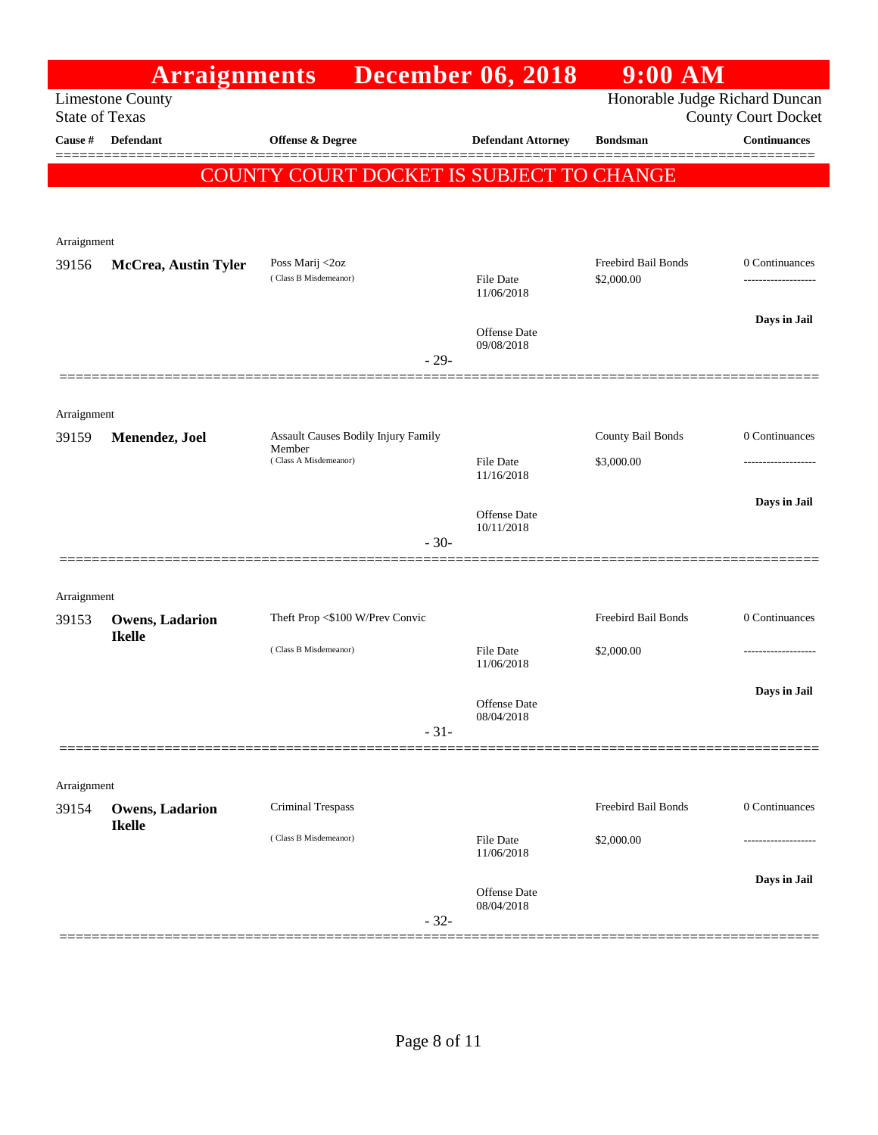|                       | <b>Arraignments</b>                     |                                               | <b>December 06, 2018</b>       | $9:00$ AM                      |                            |
|-----------------------|-----------------------------------------|-----------------------------------------------|--------------------------------|--------------------------------|----------------------------|
| <b>State of Texas</b> | <b>Limestone County</b>                 |                                               |                                | Honorable Judge Richard Duncan | <b>County Court Docket</b> |
| <b>Cause #</b>        | Defendant                               | <b>Offense &amp; Degree</b>                   | <b>Defendant Attorney</b>      | <b>Bondsman</b>                | Continuances               |
|                       |                                         |                                               |                                |                                | ======                     |
|                       |                                         | COUNTY COURT DOCKET IS SUBJECT TO CHANGE      |                                |                                |                            |
|                       |                                         |                                               |                                |                                |                            |
| Arraignment           |                                         |                                               |                                |                                |                            |
| 39156                 | <b>McCrea, Austin Tyler</b>             | Poss Marij <2oz                               |                                | Freebird Bail Bonds            | 0 Continuances             |
|                       |                                         | (Class B Misdemeanor)                         | File Date<br>11/06/2018        | \$2,000.00                     |                            |
|                       |                                         |                                               |                                |                                | Days in Jail               |
|                       |                                         |                                               | Offense Date<br>09/08/2018     |                                |                            |
|                       |                                         | $-29-$                                        |                                |                                |                            |
|                       |                                         |                                               |                                |                                |                            |
| Arraignment           |                                         |                                               |                                |                                |                            |
| 39159                 | Menendez, Joel                          | Assault Causes Bodily Injury Family<br>Member |                                | County Bail Bonds              | 0 Continuances             |
|                       |                                         | (Class A Misdemeanor)                         | <b>File Date</b><br>11/16/2018 | \$3,000.00                     | .                          |
|                       |                                         |                                               |                                |                                | Days in Jail               |
|                       |                                         |                                               | Offense Date<br>10/11/2018     |                                |                            |
|                       |                                         | $-30-$                                        |                                |                                |                            |
|                       |                                         |                                               |                                |                                |                            |
| Arraignment           |                                         |                                               |                                |                                |                            |
| 39153                 | <b>Owens, Ladarion</b><br><b>Ikelle</b> | Theft Prop <\$100 W/Prev Convic               |                                | Freebird Bail Bonds            | 0 Continuances             |
|                       |                                         | (Class B Misdemeanor)                         | <b>File Date</b><br>11/06/2018 | \$2,000.00                     | -----------------          |
|                       |                                         |                                               |                                |                                | Days in Jail               |
|                       |                                         |                                               | Offense Date<br>08/04/2018     |                                |                            |
|                       |                                         | $-31-$                                        |                                |                                |                            |
|                       |                                         |                                               |                                |                                |                            |
| Arraignment           |                                         |                                               |                                |                                |                            |
| 39154                 | <b>Owens, Ladarion</b>                  | Criminal Trespass                             |                                | Freebird Bail Bonds            | 0 Continuances             |
|                       | <b>Ikelle</b>                           | (Class B Misdemeanor)                         | File Date                      | \$2,000.00                     |                            |
|                       |                                         |                                               | 11/06/2018                     |                                |                            |
|                       |                                         |                                               | Offense Date                   |                                | Days in Jail               |
|                       |                                         | $-32-$                                        | 08/04/2018                     |                                |                            |
|                       |                                         |                                               |                                |                                | ________________________   |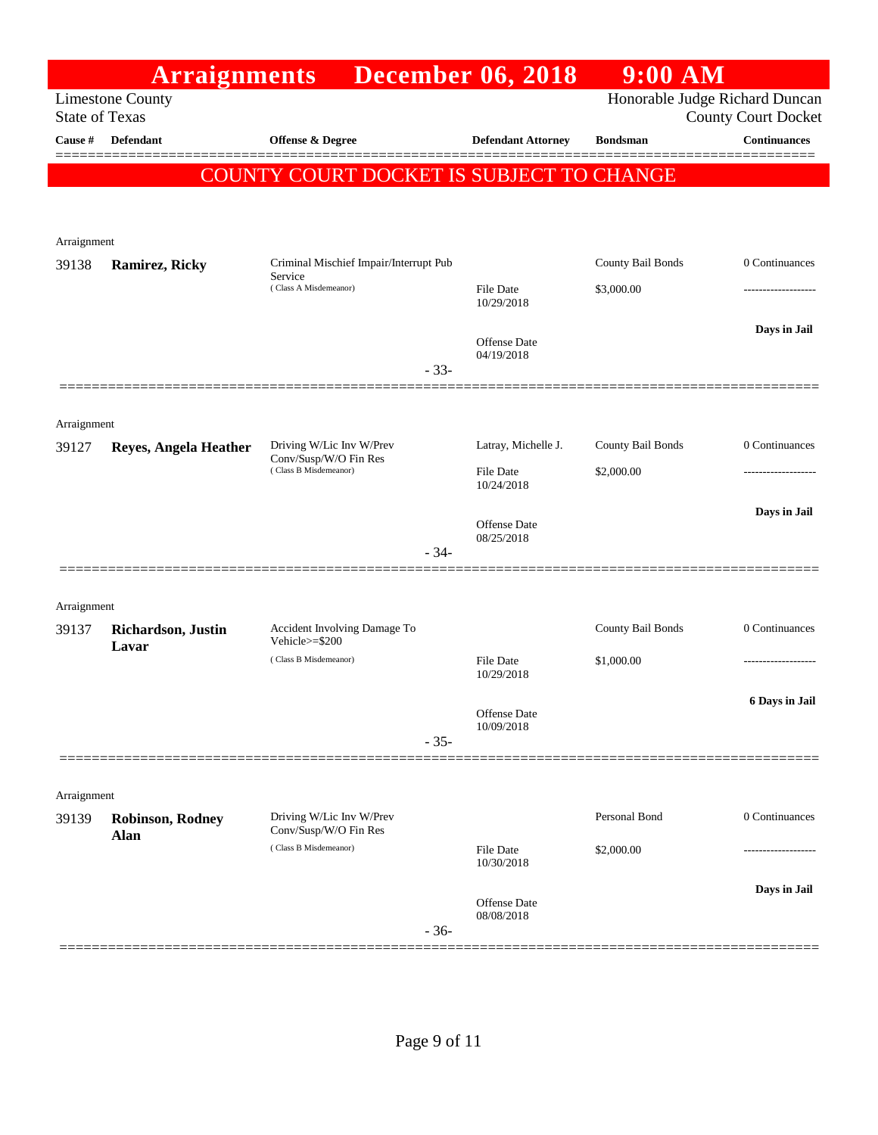|                      | <b>Arraignments</b>                              |                                                   | <b>December 06, 2018</b>       | 9:00 AM                        |                            |
|----------------------|--------------------------------------------------|---------------------------------------------------|--------------------------------|--------------------------------|----------------------------|
|                      | <b>Limestone County</b><br><b>State of Texas</b> |                                                   |                                | Honorable Judge Richard Duncan | <b>County Court Docket</b> |
| Cause #              | Defendant                                        | Offense & Degree                                  | <b>Defendant Attorney</b>      | <b>Bondsman</b>                | <b>Continuances</b>        |
|                      |                                                  | COUNTY COURT DOCKET IS SUBJECT TO CHANGE          |                                |                                |                            |
|                      |                                                  |                                                   |                                |                                |                            |
|                      |                                                  |                                                   |                                |                                |                            |
| Arraignment          |                                                  | Criminal Mischief Impair/Interrupt Pub            |                                | County Bail Bonds              | 0 Continuances             |
| 39138                | <b>Ramirez, Ricky</b>                            | Service<br>(Class A Misdemeanor)                  | File Date                      | \$3,000.00                     |                            |
|                      |                                                  |                                                   | 10/29/2018                     |                                |                            |
|                      |                                                  |                                                   | Offense Date                   |                                | Days in Jail               |
|                      |                                                  | $-33-$                                            | 04/19/2018                     |                                |                            |
|                      |                                                  |                                                   |                                |                                |                            |
| Arraignment          |                                                  |                                                   |                                |                                |                            |
| 39127                | <b>Reyes, Angela Heather</b>                     | Driving W/Lic Inv W/Prev<br>Conv/Susp/W/O Fin Res | Latray, Michelle J.            | County Bail Bonds              | 0 Continuances             |
|                      |                                                  | (Class B Misdemeanor)                             | <b>File Date</b><br>10/24/2018 | \$2,000.00                     |                            |
|                      |                                                  |                                                   | <b>Offense Date</b>            |                                | Days in Jail               |
|                      |                                                  | $-34-$                                            | 08/25/2018                     |                                |                            |
|                      |                                                  |                                                   |                                |                                |                            |
| Arraignment          |                                                  |                                                   |                                |                                |                            |
| 39137                | Richardson, Justin                               | Accident Involving Damage To<br>Vehicle>=\$200    |                                | County Bail Bonds              | 0 Continuances             |
|                      | Lavar                                            | (Class B Misdemeanor)                             | File Date                      | \$1,000.00                     | -------------------        |
|                      |                                                  |                                                   | 10/29/2018                     |                                | 6 Days in Jail             |
|                      |                                                  |                                                   | Offense Date<br>10/09/2018     |                                |                            |
|                      |                                                  | $-35-$                                            |                                |                                |                            |
|                      |                                                  |                                                   |                                |                                |                            |
| Arraignment<br>39139 |                                                  | Driving W/Lic Inv W/Prev                          |                                | Personal Bond                  | 0 Continuances             |
|                      | <b>Robinson, Rodney</b><br><b>Alan</b>           | Conv/Susp/W/O Fin Res                             |                                |                                |                            |
|                      |                                                  | (Class B Misdemeanor)                             | File Date<br>10/30/2018        | \$2,000.00                     |                            |
|                      |                                                  |                                                   | <b>Offense Date</b>            |                                | Days in Jail               |
|                      |                                                  | $-36-$                                            | 08/08/2018                     |                                |                            |
|                      |                                                  |                                                   |                                |                                |                            |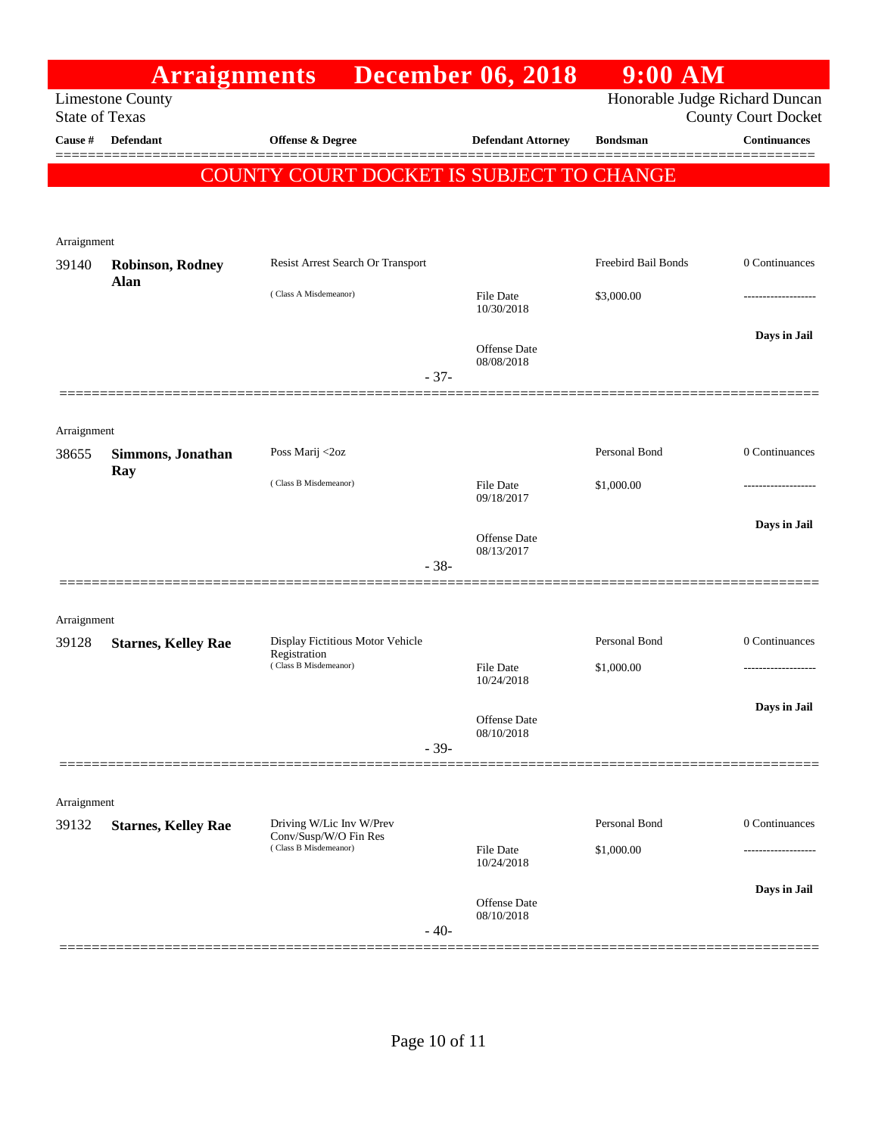|                       | <b>Arraignments</b>        |                                                   | <b>December 06, 2018</b>          | $9:00$ AM                      |                            |
|-----------------------|----------------------------|---------------------------------------------------|-----------------------------------|--------------------------------|----------------------------|
| <b>State of Texas</b> | <b>Limestone County</b>    |                                                   |                                   | Honorable Judge Richard Duncan | <b>County Court Docket</b> |
| Cause #               | <b>Defendant</b>           | Offense & Degree                                  | <b>Defendant Attorney</b>         | <b>Bondsman</b>                | Continuances<br>======     |
|                       |                            | COUNTY COURT DOCKET IS SUBJECT TO CHANGE          |                                   |                                |                            |
|                       |                            |                                                   |                                   |                                |                            |
| Arraignment           |                            |                                                   |                                   |                                |                            |
| 39140                 | <b>Robinson, Rodney</b>    | Resist Arrest Search Or Transport                 |                                   | Freebird Bail Bonds            | 0 Continuances             |
|                       | Alan                       | (Class A Misdemeanor)                             | File Date<br>10/30/2018           | \$3,000.00                     |                            |
|                       |                            |                                                   | <b>Offense Date</b><br>08/08/2018 |                                | Days in Jail               |
|                       |                            | $-37-$                                            |                                   |                                |                            |
| Arraignment           |                            |                                                   |                                   |                                |                            |
| 38655                 | Simmons, Jonathan<br>Ray   | Poss Marij <2oz                                   |                                   | Personal Bond                  | 0 Continuances             |
|                       |                            | (Class B Misdemeanor)                             | <b>File Date</b><br>09/18/2017    | \$1,000.00                     |                            |
|                       |                            |                                                   |                                   |                                | Days in Jail               |
|                       |                            | $-38-$                                            | <b>Offense Date</b><br>08/13/2017 |                                |                            |
|                       |                            |                                                   |                                   |                                |                            |
| Arraignment           |                            |                                                   |                                   |                                |                            |
| 39128                 | <b>Starnes, Kelley Rae</b> | Display Fictitious Motor Vehicle<br>Registration  |                                   | Personal Bond                  | 0 Continuances             |
|                       |                            | (Class B Misdemeanor)                             | <b>File Date</b><br>10/24/2018    | \$1,000.00                     |                            |
|                       |                            |                                                   |                                   |                                | Days in Jail               |
|                       |                            | $-39-$                                            | Offense Date<br>08/10/2018        |                                |                            |
|                       |                            |                                                   |                                   |                                |                            |
| Arraignment           |                            |                                                   |                                   |                                |                            |
| 39132                 | <b>Starnes, Kelley Rae</b> | Driving W/Lic Inv W/Prev<br>Conv/Susp/W/O Fin Res |                                   | Personal Bond                  | 0 Continuances             |
|                       |                            | (Class B Misdemeanor)                             | File Date<br>10/24/2018           | \$1,000.00                     |                            |
|                       |                            |                                                   | Offense Date                      |                                | Days in Jail               |
|                       |                            | $-40-$                                            | 08/10/2018                        |                                |                            |